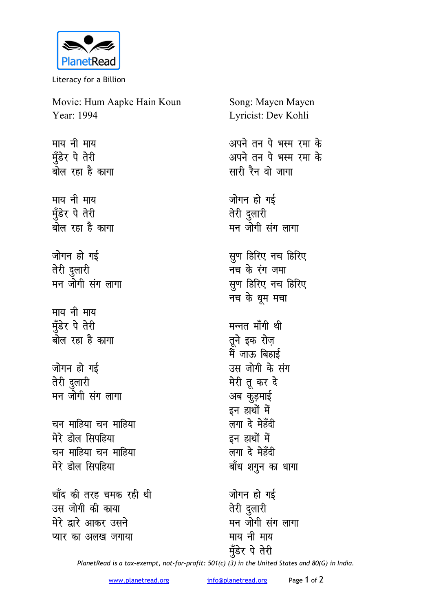

Literacy for a Billion

Movie: Hum Aapke Hain Koun Year: 1994

माय नी माय मुँडेर पे तेरी <u>बोल रहा है कागा</u>

*<u>Filid</u>* Filida Filida Filida Filida Filida Filida Filida Filida Filida Filida Filida Filida Filida Filida मुँडेर पे तेरी <u>बोल रहा है कागा</u>

जोगन हो गई **तेरी** दुलारी मन जोगी संग लागा

**माय** नी माय मुँडेर पे तेरी <u>बोल रहा है कागा</u>

जोगन हो गई **तेरी** दुलारी मन जोगी संग लागा

<u>चन माहिया चन माहिया</u> मेरे डोल सिप**हिया** <u>चन माहिया चन माहिया</u> मेरे डोल सिपहिया

चाँद की तरह चमक रही थी उस जोगी की काया **मेरे द्वारे आकर उसने प्यार का अलख जगाया** 

Song: Mayen Mayen Lyricist: Dev Kohli अपने तन पे भस्म रमा के <u>अपने तन पे भस्म रमा के</u> सारी रैन वो जागा जोगन हो गई **तेरी** दुलारी मन जोगी संग लागा **सुण हिरिए नच हिरिए नच के रंग जमा** सुण हिरिए नच हिरिए **नच** के धुम मचा मन्नत माँगी थी तूने इक रोज़ मैं जाऊ बिहाई उस जोगी के संग **मेरी तू** कर दे अब कुड़माई इन हाथों में लगा दे मेहँदी इन हाथों में लगा दे मेहँदी बाँध शगुन का धागा जोगन हो गई

**तेरी** दुलारी मन जोगी संग लागा माय नी माय मुँडेर पे तेरी

*PlanetRead is a tax-exempt, not-for-profit: 501(c) (3) in the United States and 80(G) in India.*